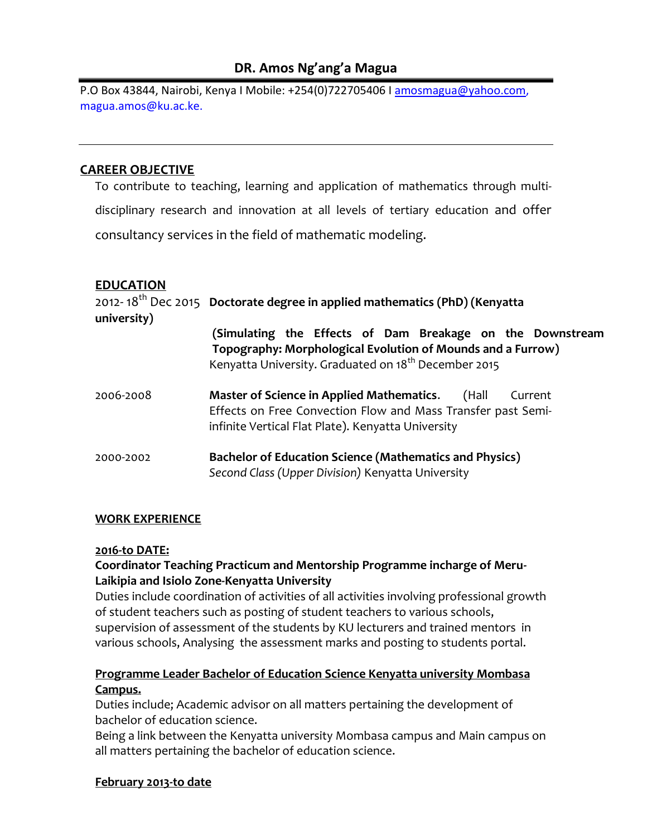# **DR. Amos Ng'ang'a Magua**

P.O Box 43844, Nairobi, Kenya I Mobile: +254(0)722705406 I [amosmagua@yahoo.com,](mailto:amosmagua@yahoo.com) magua.amos@ku.ac.ke.

## **CAREER OBJECTIVE**

To contribute to teaching, learning and application of mathematics through multidisciplinary research and innovation at all levels of tertiary education and offer consultancy services in the field of mathematic modeling.

## **EDUCATION**

| university) | 2012-18 <sup>th</sup> Dec 2015 Doctorate degree in applied mathematics (PhD) (Kenyatta                                                                                                     |
|-------------|--------------------------------------------------------------------------------------------------------------------------------------------------------------------------------------------|
|             | (Simulating the Effects of Dam Breakage on the Downstream<br>Topography: Morphological Evolution of Mounds and a Furrow)                                                                   |
|             | Kenyatta University. Graduated on 18 <sup>th</sup> December 2015                                                                                                                           |
| 2006-2008   | <b>Master of Science in Applied Mathematics.</b><br>(Hall<br>Current<br>Effects on Free Convection Flow and Mass Transfer past Semi-<br>infinite Vertical Flat Plate). Kenyatta University |
| 2000-2002   | <b>Bachelor of Education Science (Mathematics and Physics)</b><br>Second Class (Upper Division) Kenyatta University                                                                        |

#### **WORK EXPERIENCE**

#### **2016-to DATE:**

#### **Coordinator Teaching Practicum and Mentorship Programme incharge of Meru-Laikipia and Isiolo Zone-Kenyatta University**

Duties include coordination of activities of all activities involving professional growth of student teachers such as posting of student teachers to various schools, supervision of assessment of the students by KU lecturers and trained mentors in various schools, Analysing the assessment marks and posting to students portal.

## **Programme Leader Bachelor of Education Science Kenyatta university Mombasa Campus.**

Duties include; Academic advisor on all matters pertaining the development of bachelor of education science.

Being a link between the Kenyatta university Mombasa campus and Main campus on all matters pertaining the bachelor of education science.

#### **February 2013-to date**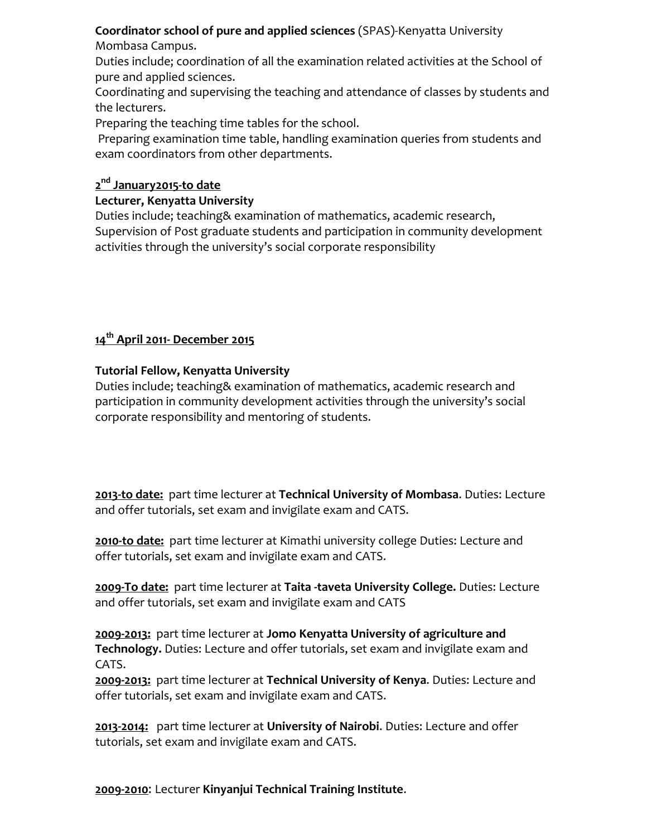# **Coordinator school of pure and applied sciences** (SPAS)-Kenyatta University

Mombasa Campus.

Duties include; coordination of all the examination related activities at the School of pure and applied sciences.

Coordinating and supervising the teaching and attendance of classes by students and the lecturers.

Preparing the teaching time tables for the school.

Preparing examination time table, handling examination queries from students and exam coordinators from other departments.

# **2 nd January2015-to date**

# **Lecturer, Kenyatta University**

Duties include; teaching& examination of mathematics, academic research, Supervision of Post graduate students and participation in community development activities through the university's social corporate responsibility

# **14th April 2011- December 2015**

# **Tutorial Fellow, Kenyatta University**

Duties include; teaching& examination of mathematics, academic research and participation in community development activities through the university's social corporate responsibility and mentoring of students.

**2013-to date:** part time lecturer at **Technical University of Mombasa**. Duties: Lecture and offer tutorials, set exam and invigilate exam and CATS.

**2010-to date:** part time lecturer at Kimathi university college Duties: Lecture and offer tutorials, set exam and invigilate exam and CATS.

**2009-To date:** part time lecturer at **Taita -taveta University College.** Duties: Lecture and offer tutorials, set exam and invigilate exam and CATS

**2009-2013:** part time lecturer at **Jomo Kenyatta University of agriculture and Technology.** Duties: Lecture and offer tutorials, set exam and invigilate exam and CATS.

**2009-2013:** part time lecturer at **Technical University of Kenya**. Duties: Lecture and offer tutorials, set exam and invigilate exam and CATS.

**2013-2014:** part time lecturer at **University of Nairobi**. Duties: Lecture and offer tutorials, set exam and invigilate exam and CATS.

**2009-2010**: Lecturer **Kinyanjui Technical Training Institute**.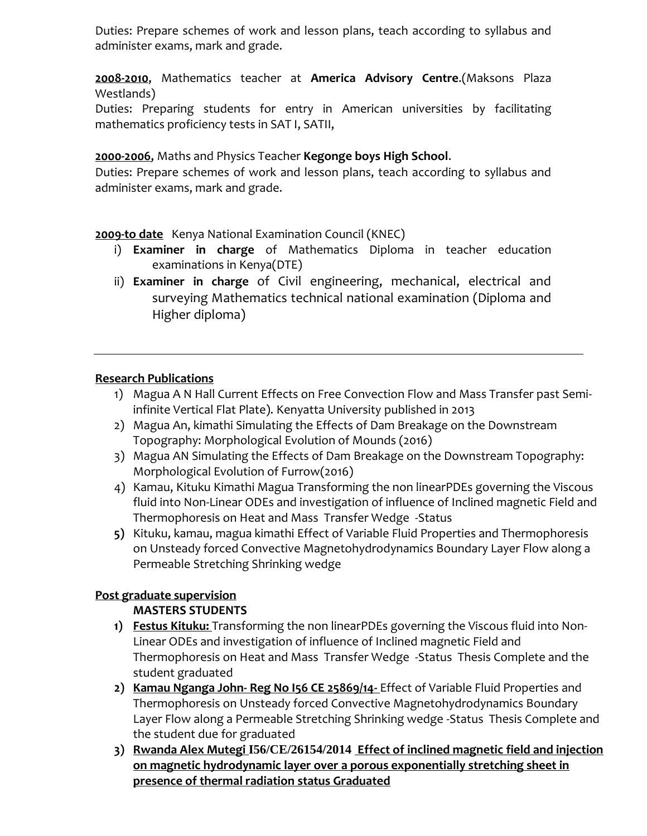Duties: Prepare schemes of work and lesson plans, teach according to syllabus and administer exams, mark and grade.

**2008-2010**, Mathematics teacher at **America Advisory Centre**.(Maksons Plaza Westlands)

Duties: Preparing students for entry in American universities by facilitating mathematics proficiency tests in SAT I, SATII,

# **2000-2006**, Maths and Physics Teacher **Kegonge boys High School**.

Duties: Prepare schemes of work and lesson plans, teach according to syllabus and administer exams, mark and grade.

**2009-to date** Kenya National Examination Council (KNEC)

- i) **Examiner in charge** of Mathematics Diploma in teacher education examinations in Kenya(DTE)
- ii) **Examiner in charge** of Civil engineering, mechanical, electrical and surveying Mathematics technical national examination (Diploma and Higher diploma)

## **Research Publications**

- 1) Magua A N Hall Current Effects on Free Convection Flow and Mass Transfer past Semiinfinite Vertical Flat Plate). Kenyatta University published in 2013
- 2) Magua An, kimathi Simulating the Effects of Dam Breakage on the Downstream Topography: Morphological Evolution of Mounds (2016)
- 3) Magua AN Simulating the Effects of Dam Breakage on the Downstream Topography: Morphological Evolution of Furrow(2016)
- 4) Kamau, Kituku Kimathi Magua Transforming the non linearPDEs governing the Viscous fluid into Non-Linear ODEs and investigation of influence of Inclined magnetic Field and Thermophoresis on Heat and Mass Transfer Wedge -Status
- **5)** Kituku, kamau, magua kimathi Effect of Variable Fluid Properties and Thermophoresis on Unsteady forced Convective Magnetohydrodynamics Boundary Layer Flow along a Permeable Stretching Shrinking wedge

# **Post graduate supervision**

# **MASTERS STUDENTS**

- **1) Festus Kituku:** Transforming the non linearPDEs governing the Viscous fluid into Non-Linear ODEs and investigation of influence of Inclined magnetic Field and Thermophoresis on Heat and Mass Transfer Wedge -Status Thesis Complete and the student graduated
- **2) Kamau Nganga John- Reg No I56 CE 25869/14-** Effect of Variable Fluid Properties and Thermophoresis on Unsteady forced Convective Magnetohydrodynamics Boundary Layer Flow along a Permeable Stretching Shrinking wedge -Status Thesis Complete and the student due for graduated
- **3) Rwanda Alex Mutegi I56/CE/26154/2014 Effect of inclined magnetic field and injection on magnetic hydrodynamic layer over a porous exponentially stretching sheet in presence of thermal radiation status Graduated**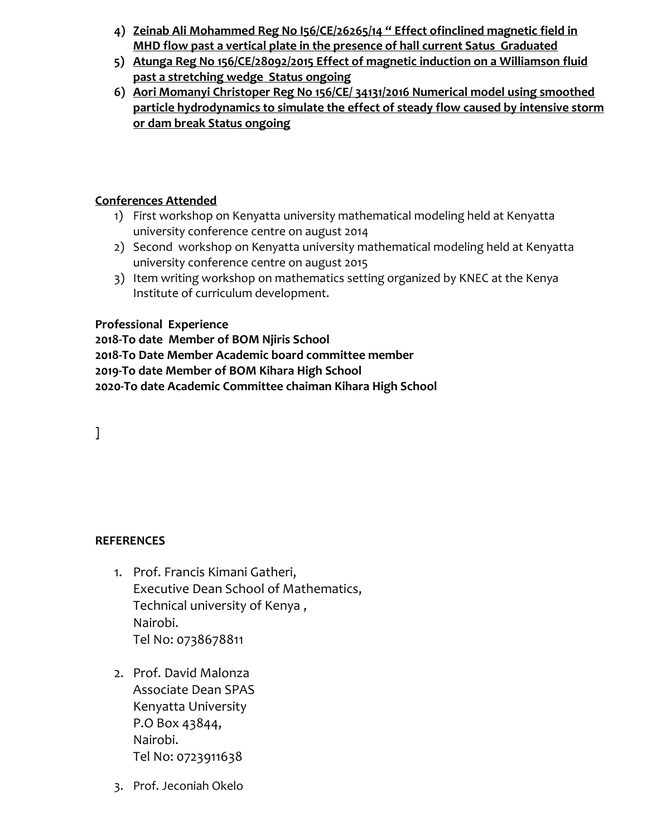- **4) Zeinab Ali Mohammed Reg No I56/CE/26265/14 " Effect ofinclined magnetic field in MHD flow past a vertical plate in the presence of hall current Satus Graduated**
- **5) Atunga Reg No 156/CE/28092/2015 Effect of magnetic induction on a Williamson fluid past a stretching wedge Status ongoing**
- **6) Aori Momanyi Christoper Reg No 156/CE/ 34131/2016 Numerical model using smoothed particle hydrodynamics to simulate the effect of steady flow caused by intensive storm or dam break Status ongoing**

## **Conferences Attended**

- 1) First workshop on Kenyatta university mathematical modeling held at Kenyatta university conference centre on august 2014
- 2) Second workshop on Kenyatta university mathematical modeling held at Kenyatta university conference centre on august 2015
- 3) Item writing workshop on mathematics setting organized by KNEC at the Kenya Institute of curriculum development.

## **Professional Experience**

**2018-To date Member of BOM Njiris School 2018-To Date Member Academic board committee member 2019-To date Member of BOM Kihara High School 2020-To date Academic Committee chaiman Kihara High School**

]

# **REFERENCES**

- 1. Prof. Francis Kimani Gatheri, Executive Dean School of Mathematics, Technical university of Kenya , Nairobi. Tel No: 0738678811
- 2. Prof. David Malonza Associate Dean SPAS Kenyatta University P.O Box 43844, Nairobi. Tel No: 0723911638
- 3. Prof. Jeconiah Okelo